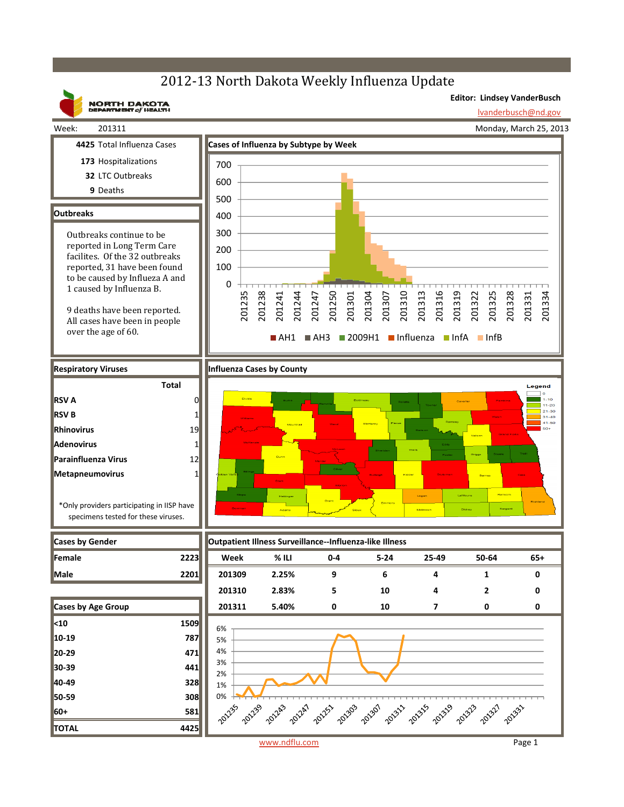### 2012-13 North Dakota Weekly Influenza Update

**Editor: Lindsey VanderBusch**

## Week: 201311

**Outbreaks**

**RSV A RSV B Rhinovirus Adenovirus**

**Parainfluenza Virus Metapneumovirus**

**9** Deaths

**NORTH DAKOTA**<br>DEPARTMENT of HEALTH lvanderbusch@nd.gov Monday, March 25, 2013 **4425** Total Influenza Cases **Cases of Influenza by Subtype by Week 173** Hospitalizations 700 **32** LTC Outbreaks 600 500 400 300 Outbreaks continue to be reported in Long Term Care 200 facilites. Of the 32 outbreaks reported, 31 have been found 100 to be caused by Influeza A and 0 1 caused by Influenza B. 201238 201316 201319 201235 201241 201244 201247 201250 201301 201304 201307 201310 201313 201322 201325 201328 201334 201331 9 deaths have been reported. All cases have been in people over the age of 60.  $A$ H1  $A$ H3 2009H1 Influenza InfA InfB **Respiratory Viruses Influenza Cases by County Total** Legend  $1 - 10$ 0  $11 - 20$ ---20<br>21-30<br>31-40<br>41-50 1 19 1 12 1 \*Only providers participating in IISP have specimens tested for these viruses.

| <b>Cases by Gender</b>    |      |               | Outpatient Illness Surveillance--Influenza-like Illness |         |          |        |              |       |
|---------------------------|------|---------------|---------------------------------------------------------|---------|----------|--------|--------------|-------|
| <b>Female</b>             | 2223 | Week          | $%$ ILI                                                 | $0 - 4$ | $5 - 24$ | 25-49  | 50-64        | $65+$ |
| Male                      | 2201 | 201309        | 2.25%                                                   | 9       | 6        | 4      | 1            | 0     |
|                           |      | 201310        | 2.83%                                                   | 5       | 10       | 4      | $\mathbf{z}$ | ŋ     |
| <b>Cases by Age Group</b> |      | 201311        | 5.40%                                                   | 0       | 10       | 7      | 0            | 0     |
| $\vert$ <10               | 1509 | 6%            |                                                         |         |          |        |              |       |
| $10-19$                   | 787  | 5%            |                                                         |         |          |        |              |       |
| 20-29                     | 471  | 4%            |                                                         |         |          |        |              |       |
| 30-39                     | 441  | 3%<br>2%      |                                                         |         |          |        |              |       |
| 40-49                     | 328  | 1%            |                                                         |         |          |        |              |       |
| 50-59                     | 308  | 0%            |                                                         |         |          |        |              |       |
| 60+                       | 581  |               |                                                         |         |          |        |              |       |
| <b>TOTAL</b>              | 4425 |               |                                                         |         |          |        |              |       |
|                           |      | www.ndflu.com |                                                         |         |          | Page 1 |              |       |